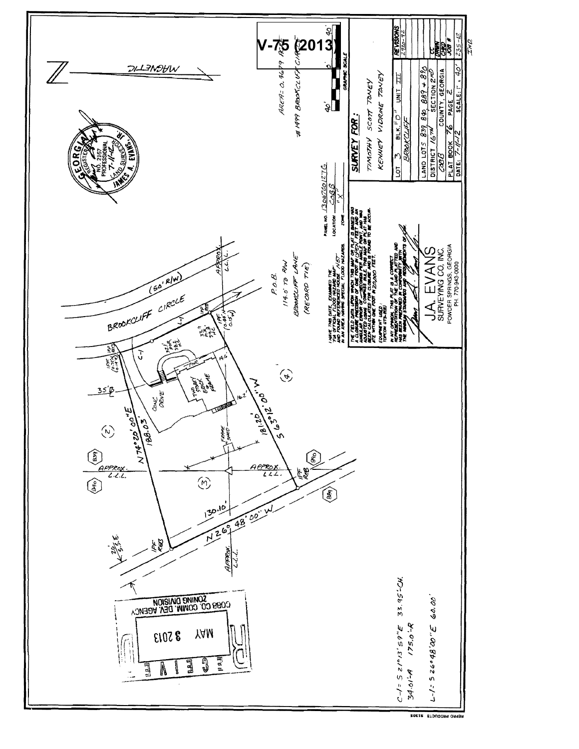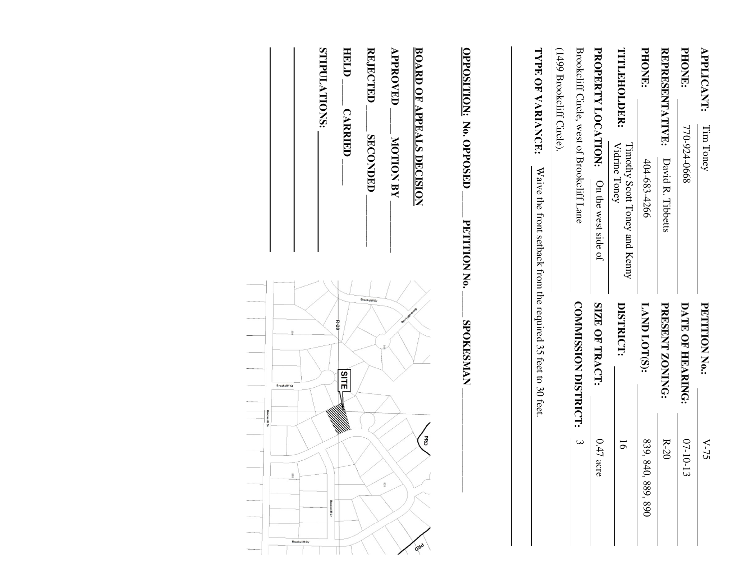| <b>APPLICANT:</b>                | Tim Toney                                      | <b>PETITION No.:</b>                                          | $V-75$             |
|----------------------------------|------------------------------------------------|---------------------------------------------------------------|--------------------|
| <b>PHONE:</b>                    | 770-924-0668                                   | DATE OF HEARING:                                              | $07 - 10 - 13$     |
| <b>REPRESENTATIVE:</b>           | David R. Tibbetts                              | <b>PRESENT ZONING:</b>                                        | $R-20$             |
| <b>PHONE:</b>                    | 404-683-4266                                   | LAND LOT(S):                                                  | 839, 840, 889, 890 |
| TITLEHOLDER:                     | Vidrine Toney<br>Timothy Scott Toney and Kenny | DISTRICT:                                                     | $\overline{6}$     |
| PROPERTY LOCATION:               | On the west side of                            | SIZE OF TRACT:                                                | $0.47$ acre        |
|                                  | Brookcliff Circle, west of Brookcliff Lane     | <b>COMMISSION DISTRICT:</b>                                   | $\mathbf{\omega}$  |
| (1499 Brookcliff Circle).        |                                                |                                                               |                    |
| TYPE OF VARIANCE:                |                                                | Waive the front setback from the required 35 feet to 30 feet. |                    |
| <b>OPPOSITION: No. OPPOSED</b>   | PETITION No.                                   | <b>SPOKESMAN</b>                                              |                    |
| <b>BOARD OF APPEALS DECISION</b> |                                                |                                                               | <b>BRD</b><br>gad  |
| <b>APPROVED</b>                  | <b>MOTION BY</b>                               |                                                               | 629                |
| REJECTED                         | <b>SECONDED</b>                                | okcliff Dr                                                    |                    |

HELD. **HELD \_\_\_\_\_ CARRIED \_\_\_\_\_ CARRIED** 

STIPULATIONS: **STIPULATIONS:** 

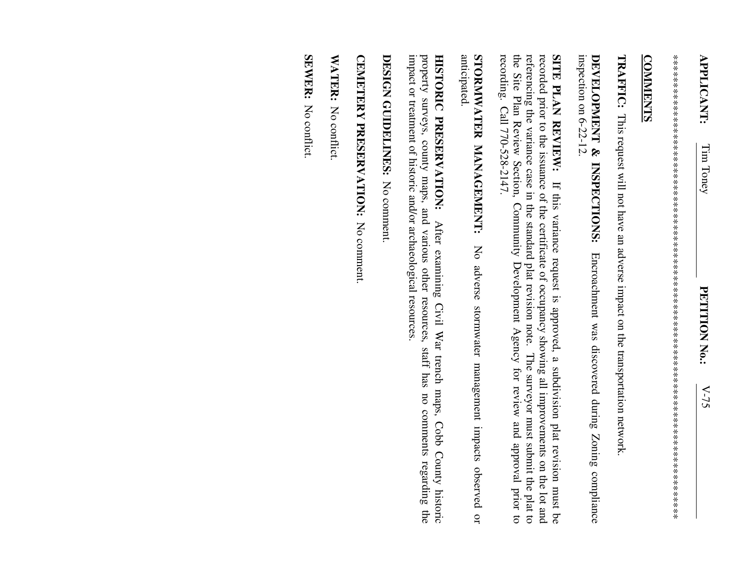\*\*\*\*\*\*\*\*\*\*\*\*\*\*\*\*\*\*\*\*\*\*\*\*\*\*\*\*\*\*\*\*\*\*\*\*\*\*\*\*\*\*\*\*\*\*\*\*\*\*\*\*\*\*\*\*\*\*\*\*\*\*\*\*\*\*\*\*\*\*\*\*\*\*\*\*\*\*\*\*\*\* 

## **COMMENTS COMMENTS**

**TRAFFIC:**  This request will not have an adverse impact on the transportation network.

inspection on 6-22-12. inspection on 6-22-12. DEVELOPMENT & INSPECTIONS: **DEVELOPMENT & INSPECTIONS:**  Encroachment was discovered during Zoning compliance Encroachment was discovered during Zoning compliance

recording. Call 770-528-2147. the Site Plan Review Section, Community Development Agency for review and approval prior to referencing the variance case in the standard plat revision note. The surveyor must submit the plat to recorded prior to the issuance of the certificate of occupancy showing all improvements on the lot and recording. Call 770-528-2147. the Site Plan Review Section, Community Devel referencing the variance case in the standard plat revision note. The surveyor must submit the plat to recorded prior to the issuance of the certificate of occupancy showing all improvements on the lot and SITE PLAN REVIEW: **SITE PLAN REVIEW:** If this variance request is approved, a subdivision plat revision must be If this variance request is approved, a subdivision plat revision must be opment Agency for review and approval prior to

anticipated. STORMWATER MANAGEMENT: **STORMWATER MANAGEMENT:**  No adverse stormwater management impacts observed or No adverse stormwater management impacts observed or

impact or treatment of historic and/or archaeological resources impact or treatment of historic and/or archaeological resources. property surveys, county maps, and various other resources, staff has no comments regarding the property surveys, county maps, and various other resources, staff has no comments regarding the HISTORIC PRESERVATION: **HISTORIC PRESERVATION:**  After examining Civil War trench maps, Cobb County historic After examining Civil War trench maps, Cobb County historic

DESIGN GUIDELINES: No comment **DESIGN GUIDELINES:** No comment.

CEMETERY PRESERVATION: No comment. **CEMETERY PRESERVATION:** No comment.

WATER: No conflict. WATER: No conflict.

**SEWER:** No conflict. SEWER: No conflict: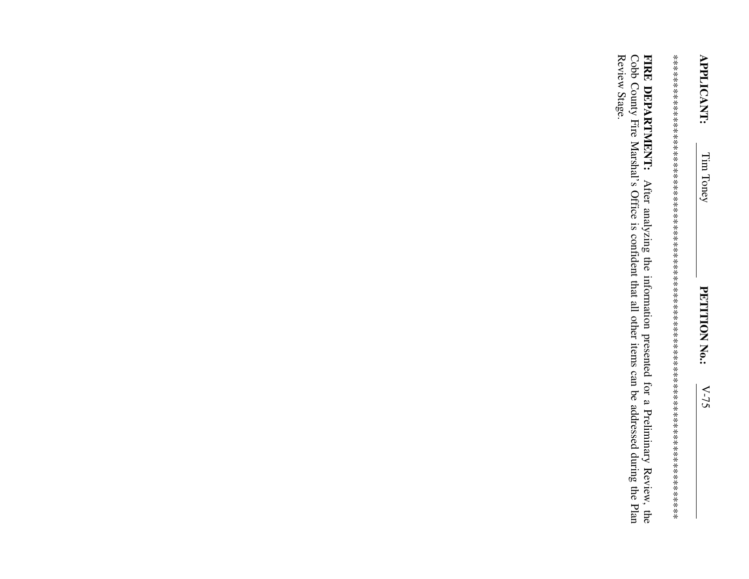Review Stage. FIRE DEPARTMENT: After analyzing the information presented for a Preliminary Review, the Cobb County Fire Marshal's Office is confident that all other items can be addressed during the Plan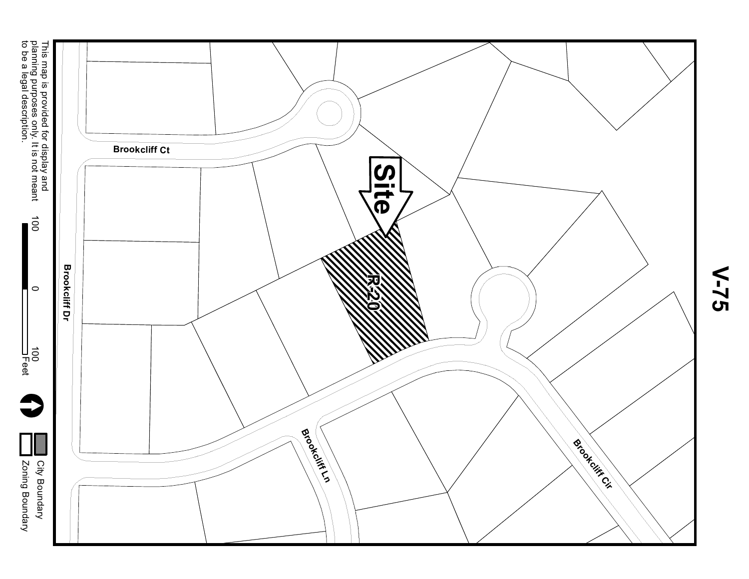

**V-75**